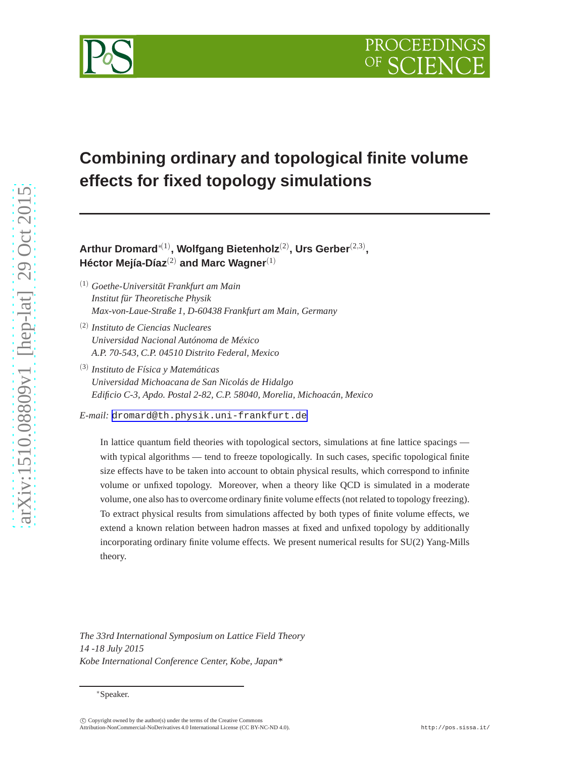



**Arthur Dromard**∗(1) **, Wolfgang Bietenholz**(2) **, Urs Gerber**(2,3) **, Héctor Mejía-Díaz**(2) **and Marc Wagner**(1)

- (1) *Goethe-Universität Frankfurt am Main Institut für Theoretische Physik Max-von-Laue-Straße 1, D-60438 Frankfurt am Main, Germany*
- (2) *Instituto de Ciencias Nucleares Universidad Nacional Autónoma de México A.P. 70-543, C.P. 04510 Distrito Federal, Mexico*
- (3) *Instituto de Física y Matemáticas Universidad Michoacana de San Nicolás de Hidalgo Edificio C-3, Apdo. Postal 2-82, C.P. 58040, Morelia, Michoacán, Mexico*

*E-mail:* [dromard@th.physik.uni-frankfurt.de](mailto:dromard@th.physik.uni-frankfurt.de)

In lattice quantum field theories with topological sectors, simulations at fine lattice spacings with typical algorithms — tend to freeze topologically. In such cases, specific topological finite size effects have to be taken into account to obtain physical results, which correspond to infinite volume or unfixed topology. Moreover, when a theory like QCD is simulated in a moderate volume, one also has to overcome ordinary finite volume effects (not related to topology freezing). To extract physical results from simulations affected by both types of finite volume effects, we extend a known relation between hadron masses at fixed and unfixed topology by additionally incorporating ordinary finite volume effects. We present numerical results for SU(2) Yang-Mills theory.

*The 33rd International Symposium on Lattice Field Theory 14 -18 July 2015 Kobe International Conference Center, Kobe, Japan\**

<sup>∗</sup>Speaker.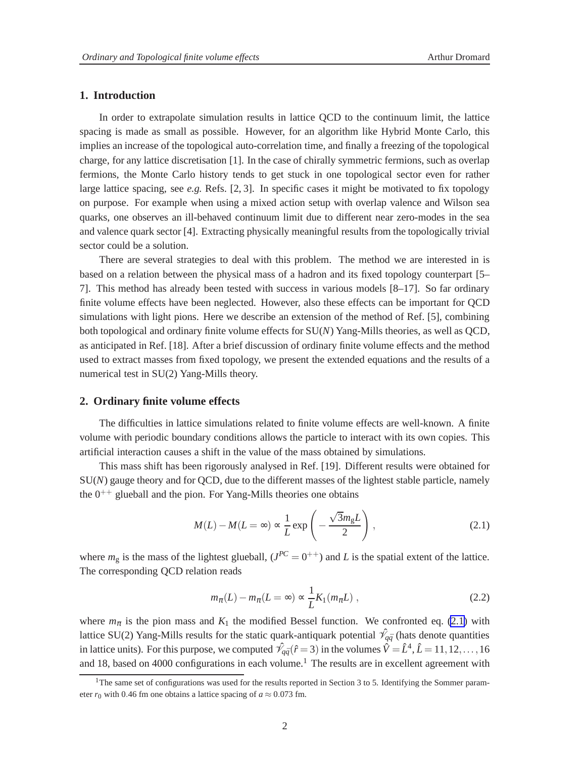# <span id="page-1-0"></span>**1. Introduction**

In order to extrapolate simulation results in lattice QCD to the continuum limit, the lattice spacing is made as small as possible. However, for an algorithm like Hybrid Monte Carlo, this implies an increase of the topological auto-correlation time, and finally a freezing of the topological charge, for any lattice discretisation [1]. In the case of chirally symmetric fermions, such as overlap fermions, the Monte Carlo history tends to get stuck in one topological sector even for rather large lattice spacing, see  $e.g.$  Refs.  $[2, 3]$ . In specific cases it might be motivated to fix topology on purpose. For example when using a mixed action setup with overlap valence and Wilson sea quarks, one observes an ill-behaved continuum limit due to different near zero-modes in the sea and valence quark sector [4]. Extracting physically meaningful results from the topologically trivial sector could be a solution.

There are several strategies to deal with this problem. The method we are interested in is based on a relation between the physical mass of a hadron and its fixed topology counterpart [5– 7]. This method has already been tested with success in various models [8–17]. So far ordinary finite volume effects have been neglected. However, also these effects can be important for QCD simulations with light pions. Here we describe an extension of the method of Ref. [5], combining both topological and ordinary finite volume effects for SU(*N*) Yang-Mills theories, as well as QCD, as anticipated in Ref. [18]. After a brief discussion of ordinary finite volume effects and the method used to extract masses from fixed topology, we present the extended equations and the results of a numerical test in SU(2) Yang-Mills theory.

#### **2. Ordinary finite volume effects**

The difficulties in lattice simulations related to finite volume effects are well-known. A finite volume with periodic boundary conditions allows the particle to interact with its own copies. This artificial interaction causes a shift in the value of the mass obtained by simulations.

This mass shift has been rigorously analysed in Ref. [19]. Different results were obtained for SU(*N*) gauge theory and for QCD, due to the different masses of the lightest stable particle, namely the  $0^{++}$  glueball and the pion. For Yang-Mills theories one obtains

$$
M(L) - M(L = \infty) \propto \frac{1}{L} \exp\left(-\frac{\sqrt{3}m_{g}L}{2}\right),
$$
\n(2.1)

where  $m_g$  is the mass of the lightest glueball,  $(J^{PC} = 0^{++})$  and *L* is the spatial extent of the lattice. The corresponding QCD relation reads

$$
m_{\pi}(L) - m_{\pi}(L = \infty) \propto \frac{1}{L} K_1(m_{\pi}L) , \qquad (2.2)
$$

where  $m_{\pi}$  is the pion mass and  $K_1$  the modified Bessel function. We confronted eq. (2.1) with lattice SU(2) Yang-Mills results for the static quark-antiquark potential  $\hat{\mathcal{V}}_{q\bar{q}}$  (hats denote quantities in lattice units). For this purpose, we computed  $\hat{\mathcal{V}}_{q\bar{q}}(\hat{r}=3)$  in the volumes  $\hat{V}=\hat{L}^4$ ,  $\hat{L}=11,12,\ldots,16$ and 18, based on 4000 configurations in each volume.<sup>1</sup> The results are in excellent agreement with

<sup>&</sup>lt;sup>1</sup>The same set of configurations was used for the results reported in Section 3 to 5. Identifying the Sommer parameter  $r_0$  with 0.46 fm one obtains a lattice spacing of  $a \approx 0.073$  fm.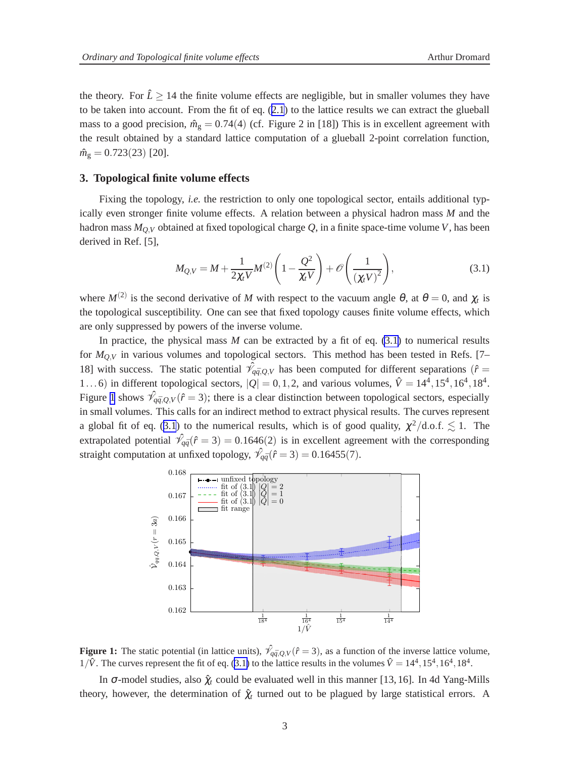<span id="page-2-0"></span>the theory. For  $\hat{L} \ge 14$  the finite volume effects are negligible, but in smaller volumes they have to be taken into account. From the fit of eq. ([2.1](#page-1-0)) to the lattice results we can extract the glueball mass to a good precision,  $\hat{m}_g = 0.74(4)$  (cf. Figure 2 in [18]) This is in excellent agreement with the result obtained by a standard lattice computation of a glueball 2-point correlation function,  $\hat{m}_{\rm g} = 0.723(23)$  [20].

### **3. Topological finite volume effects**

Fixing the topology, *i.e.* the restriction to only one topological sector, entails additional typically even stronger finite volume effects. A relation between a physical hadron mass *M* and the hadron mass  $M_{Q,V}$  obtained at fixed topological charge  $Q$ , in a finite space-time volume *V*, has been derived in Ref. [5],

$$
M_{Q,V} = M + \frac{1}{2\chi_t V} M^{(2)} \left( 1 - \frac{Q^2}{\chi_t V} \right) + \mathcal{O}\left(\frac{1}{(\chi_t V)^2}\right),\tag{3.1}
$$

where  $M^{(2)}$  is the second derivative of M with respect to the vacuum angle  $\theta$ , at  $\theta = 0$ , and  $\chi_t$  is the topological susceptibility. One can see that fixed topology causes finite volume effects, which are only suppressed by powers of the inverse volume.

In practice, the physical mass  $M$  can be extracted by a fit of eq.  $(3.1)$  to numerical results for *MQ*,*<sup>V</sup>* in various volumes and topological sectors. This method has been tested in Refs. [7– 18] with success. The static potential  $\hat{\mathcal{V}}_{q\bar{q},Q,V}$  has been computed for different separations ( $\hat{r}$  = 1...6) in different topological sectors,  $|Q| = 0, 1, 2$ , and various volumes,  $\hat{V} = 14^4, 15^4, 16^4, 18^4$ . Figure 1 shows  $\hat{\mathcal{V}}_{q\bar{q},Q,V}(\hat{r}=3)$ ; there is a clear distinction between topological sectors, especially in small volumes. This calls for an indirect method to extract physical results. The curves represent a global fit of eq. (3.1) to the numerical results, which is of good quality,  $\chi^2/\text{d.o.f.} \lesssim 1$ . The extrapolated potential  $\hat{\mathcal{V}}_{q\bar{q}}(\hat{r}=3) = 0.1646(2)$  is in excellent agreement with the corresponding straight computation at unfixed topology,  $\hat{\mathcal{V}}_{q\bar{q}}(\hat{r}=3) = 0.16455(7)$ .



**Figure 1:** The static potential (in lattice units),  $\hat{\mathcal{V}}_{q\bar{q},Q,V}(\hat{r}=3)$ , as a function of the inverse lattice volume,  $1/\hat{V}$ . The curves represent the fit of eq. (3.1) to the lattice results in the volumes  $\hat{V} = 14^4, 15^4, 16^4, 18^4$ .

In  $\sigma$ -model studies, also  $\hat{\chi}_t$  could be evaluated well in this manner [13, 16]. In 4d Yang-Mills theory, however, the determination of  $\hat{\chi}_t$  turned out to be plagued by large statistical errors. A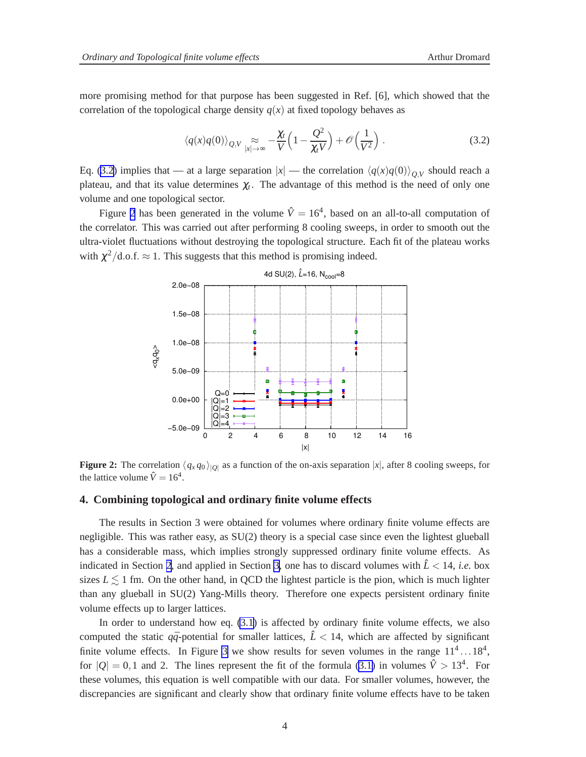more promising method for that purpose has been suggested in Ref. [6], which showed that the correlation of the topological charge density  $q(x)$  at fixed topology behaves as

$$
\langle q(x)q(0)\rangle_{Q,V} \underset{|x|\to\infty}{\approx} -\frac{\chi_t}{V} \left(1 - \frac{Q^2}{\chi_t V}\right) + \mathcal{O}\left(\frac{1}{V^2}\right). \tag{3.2}
$$

Eq. (3.2) implies that — at a large separation  $|x|$  — the correlation  $\langle q(x)q(0)\rangle_{Q,V}$  should reach a plateau, and that its value determines  $\chi_t$ . The advantage of this method is the need of only one volume and one topological sector.

Figure 2 has been generated in the volume  $\hat{V} = 16^4$ , based on an all-to-all computation of the correlator. This was carried out after performing 8 cooling sweeps, in order to smooth out the ultra-violet fluctuations without destroying the topological structure. Each fit of the plateau works with  $\chi^2/\text{d.o.f.} \approx 1$ . This suggests that this method is promising indeed.



**Figure 2:** The correlation  $\langle q_x q_0 \rangle_{|Q|}$  as a function of the on-axis separation  $|x|$ , after 8 cooling sweeps, for the lattice volume  $\hat{V} = 16^4$ .

### **4. Combining topological and ordinary finite volume effects**

The results in Section 3 were obtained for volumes where ordinary finite volume effects are negligible. This was rather easy, as SU(2) theory is a special case since even the lightest glueball has a considerable mass, which implies strongly suppressed ordinary finite volume effects. As indicated in Section [2](#page-1-0), and applied in Section [3,](#page-2-0) one has to discard volumes with  $\hat{L}$  < 14, *i.e.* box sizes  $L \lesssim 1$  fm. On the other hand, in QCD the lightest particle is the pion, which is much lighter than any glueball in SU(2) Yang-Mills theory. Therefore one expects persistent ordinary finite volume effects up to larger lattices.

In order to understand how eq. [\(3.1\)](#page-2-0) is affected by ordinary finite volume effects, we also computed the static  $q\bar{q}$ -potential for smaller lattices,  $\hat{L}$  < 14, which are affected by significant finite volume effects. In Figure [3](#page-4-0) we show results for seven volumes in the range  $11^4 \dots 18^4$ , for  $|Q| = 0, 1$  and 2. The lines represent the fit of the formula [\(3.1\)](#page-2-0) in volumes  $\hat{V} > 13^4$ . For these volumes, this equation is well compatible with our data. For smaller volumes, however, the discrepancies are significant and clearly show that ordinary finite volume effects have to be taken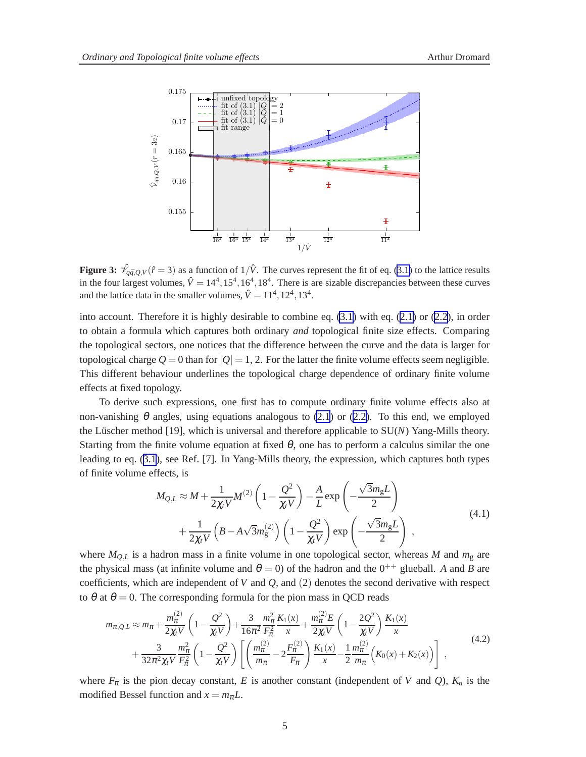<span id="page-4-0"></span>

**Figure 3:**  $\hat{\mathcal{V}}_{q\bar{q},Q,V}(\hat{r}=3)$  as a function of  $1/\hat{V}$ . The curves represent the fit of eq. [\(3.1\)](#page-2-0) to the lattice results in the four largest volumes,  $\hat{V} = 14^4, 15^4, 16^4, 18^4$ . There is are sizable discrepancies between these curves and the lattice data in the smaller volumes,  $\hat{V} = 11^4, 12^4, 13^4$ .

into account. Therefore it is highly desirable to combine eq. [\(3.1](#page-2-0)) with eq. ([2.1\)](#page-1-0) or [\(2.2\)](#page-1-0), in order to obtain a formula which captures both ordinary *and* topological finite size effects. Comparing the topological sectors, one notices that the difference between the curve and the data is larger for topological charge  $Q = 0$  than for  $|Q| = 1, 2$ . For the latter the finite volume effects seem negligible. This different behaviour underlines the topological charge dependence of ordinary finite volume effects at fixed topology.

To derive such expressions, one first has to compute ordinary finite volume effects also at non-vanishing  $\theta$  angles, using equations analogous to [\(2.1](#page-1-0)) or [\(2.2\)](#page-1-0). To this end, we employed the Lüscher method [19], which is universal and therefore applicable to SU(*N*) Yang-Mills theory. Starting from the finite volume equation at fixed  $\theta$ , one has to perform a calculus similar the one leading to eq. ([3.1](#page-2-0)), see Ref. [7]. In Yang-Mills theory, the expression, which captures both types of finite volume effects, is

$$
M_{Q,L} \approx M + \frac{1}{2\chi_t V} M^{(2)} \left( 1 - \frac{Q^2}{\chi_t V} \right) - \frac{A}{L} \exp\left( -\frac{\sqrt{3}m_g L}{2} \right)
$$
  
+ 
$$
\frac{1}{2\chi_t V} \left( B - A\sqrt{3}m_g^{(2)} \right) \left( 1 - \frac{Q^2}{\chi_t V} \right) \exp\left( -\frac{\sqrt{3}m_g L}{2} \right) ,
$$
(4.1)

where  $M_{OL}$  is a hadron mass in a finite volume in one topological sector, whereas M and  $m<sub>g</sub>$  are the physical mass (at infinite volume and  $\theta = 0$ ) of the hadron and the  $0^{++}$  glueball. *A* and *B* are coefficients, which are independent of *V* and *Q*, and (2) denotes the second derivative with respect to  $\theta$  at  $\theta = 0$ . The corresponding formula for the pion mass in QCD reads

$$
m_{\pi,Q,L} \approx m_{\pi} + \frac{m_{\pi}^{(2)}}{2\chi_{t}V} \left(1 - \frac{Q^{2}}{\chi_{t}V}\right) + \frac{3}{16\pi^{2}} \frac{m_{\pi}^{2}}{F_{\pi}^{2}} \frac{K_{1}(x)}{x} + \frac{m_{\pi}^{(2)}E}{2\chi_{t}V} \left(1 - \frac{2Q^{2}}{\chi_{t}V}\right) \frac{K_{1}(x)}{x} + \frac{3}{32\pi^{2}\chi_{t}V} \frac{m_{\pi}^{2}}{F_{\pi}^{2}} \left(1 - \frac{Q^{2}}{\chi_{t}V}\right) \left[\left(\frac{m_{\pi}^{(2)}}{m_{\pi}} - 2\frac{F_{\pi}^{(2)}}{F_{\pi}}\right) \frac{K_{1}(x)}{x} - \frac{1}{2} \frac{m_{\pi}^{(2)}}{m_{\pi}} \left(K_{0}(x) + K_{2}(x)\right)\right],
$$
\n(4.2)

where  $F_{\pi}$  is the pion decay constant, *E* is another constant (independent of *V* and *Q*),  $K_n$  is the modified Bessel function and  $x = m<sub>\pi</sub>L$ .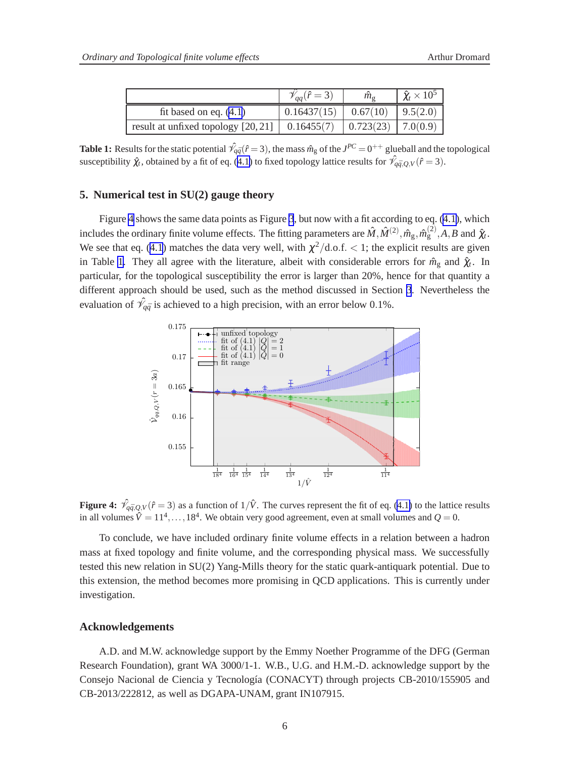|                                                                           | $(\hat{r}=3)$                       | $\hat{m}_{\rm o}$ | $\hat{\chi}_t \times 10^5$ |
|---------------------------------------------------------------------------|-------------------------------------|-------------------|----------------------------|
| fit based on eq. $(4.1)$                                                  | $0.16437(15)$ $0.67(10)$ $9.5(2.0)$ |                   |                            |
| result at unfixed topology $[20, 21]$   0.16455(7)   0.723(23)   7.0(0.9) |                                     |                   |                            |

**Table 1:** Results for the static potential  $\hat{\mathcal{V}}_{q\bar{q}}(\hat{r}=3)$ , the mass  $\hat{m}_g$  of the  $J^{PC}=0^{++}$  glueball and the topological susceptibility  $\hat{\chi}_t$ , obtained by a fit of eq. ([4.1\)](#page-4-0) to fixed topology lattice results for  $\hat{\mathcal{V}}_{q\bar{q},Q,V}(\hat{r}=3)$ .

## **5. Numerical test in SU(2) gauge theory**

Figure 4 shows the same data points as Figure [3](#page-4-0), but now with a fit according to eq. ([4.1\)](#page-4-0), which includes the ordinary finite volume effects. The fitting parameters are  $\hat{M},\hat{M}^{(2)},\hat{m}_g,\hat{m}_g^{(2)},A,B$  and  $\hat{\chi}_t$ . We see that eq. ([4.1](#page-4-0)) matches the data very well, with  $\chi^2/\text{d.o.f.} < 1$ ; the explicit results are given in Table 1. They all agree with the literature, albeit with considerable errors for  $\hat{m}_g$  and  $\hat{\chi}_t$ . In particular, for the topological susceptibility the error is larger than 20%, hence for that quantity a different approach should be used, such as the method discussed in Section [3](#page-2-0). Nevertheless the evaluation of  $\hat{\mathcal{V}}_{q\bar{q}}$  is achieved to a high precision, with an error below 0.1%.



**Figure 4:**  $\hat{\mathcal{V}}_{q\bar{q},Q,V}(\hat{r}=3)$  as a function of  $1/\hat{V}$ . The curves represent the fit of eq. [\(4.1\)](#page-4-0) to the lattice results in all volumes  $\hat{V} = 11^4, \dots, 18^4$ . We obtain very good agreement, even at small volumes and  $Q = 0$ .

To conclude, we have included ordinary finite volume effects in a relation between a hadron mass at fixed topology and finite volume, and the corresponding physical mass. We successfully tested this new relation in SU(2) Yang-Mills theory for the static quark-antiquark potential. Due to this extension, the method becomes more promising in QCD applications. This is currently under investigation.

#### **Acknowledgements**

A.D. and M.W. acknowledge support by the Emmy Noether Programme of the DFG (German Research Foundation), grant WA 3000/1-1. W.B., U.G. and H.M.-D. acknowledge support by the Consejo Nacional de Ciencia y Tecnología (CONACYT) through projects CB-2010/155905 and CB-2013/222812, as well as DGAPA-UNAM, grant IN107915.